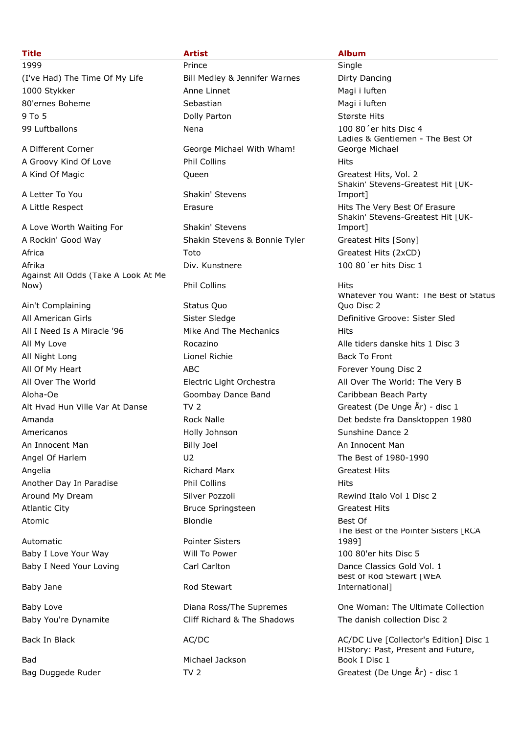(I've Had) The Time Of My Life Bill Medley & Jennifer Warnes Dirty Dancing 1000 Stykker Anne Linnet Magi i luften 80'ernes Boheme Sebastian Sebastian Magi i luften 9 To 5 Største Hits Colly Parton Største Hits Største Hits 99 Luftballons Nena 100 80´er hits Disc 4

A Love Worth Waiting For Shakin' Stevens A Rockin' Good Way **Shakin Stevens & Bonnie Tyler** Greatest Hits [Sony] Africa **Toto** Toto Greatest Hits (2xCD) Afrika Div. Kunstnere 100 80´er hits Disc 1 Against All Odds (Take A Look At Me Now) Phil Collins Hits

Ain't Complaining **Status Quo** All American Girls **Sister Sledge** Sister Sledge Befinitive Groove: Sister Sled All I Need Is A Miracle '96 Mike And The Mechanics Hits All My Love **Alle tiders danske hits 1 Disc 3** Alle tiders danske hits 1 Disc 3 All Night Long **Lionel Richie Back To Front** Lionel Richie Back To Front All Of My Heart **ABC** ABC Forever Young Disc 2 All Over The World Electric Light Orchestra All Over The World: The Very B Aloha-Oe Goombay Dance Band Caribbean Beach Party Alt Hvad Hun Ville Var At Danse TV 2 Greatest (De Unge År) - disc 1 Americanos Holly Johnson Sunshine Dance 2 An Innocent Man **Billy Joel** An Innocent Man An Innocent Man Angel Of Harlem and CO2 CH and CO2 CH and CO2 CH and CO2 CH and CO2 CH and CO2 CH and CO2 CH and CO2 CH and CO2 CH and CO2 CH and CO2 CH and CO2 CH and CO2 CH and CO2 CH and CO2 CH and CO2 CH and CO2 CH and CO2 CH and CO2 Angelia **Richard Marx Greatest Hits** Richard Marx **Greatest Hits** Another Day In Paradise **Phil Collins** Phil Collins **Hits** Around My Dream **Silver Pozzoli** Silver Pozzoli Rewind Italo Vol 1 Disc 2 Atlantic City **Bruce Springsteen** Greatest Hits Atomic Best Of Blondie Blondie Best Of Best Of Best Of Best Of Best Of Best Of Best Of Best Of Best Of Best Of

Automatic **Automatic Research Pointer Sisters** 

Bad Michael Jackson

1999 Prince Single A Different Corner Corner George Michael With Wham! A Groovy Kind Of Love **Phil Collins Hits Hits** A Kind Of Magic **All Accord Cueen** Cueen Controller Cueen A Greatest Hits, Vol. 2 A Letter To You Shakin' Stevens Baby I Love Your Way **100 80'er hits Disc 5** Will To Power 100 80'er hits Disc 5 Baby I Need Your Loving **Carl Carl Carlton Carl Carlton Dance Classics Gold Vol. 1** Baby Jane Rod Stewart

Baby You're Dynamite Cliff Richard & The Shadows The danish collection Disc 2

### **Title Artist Album**

Ladies & Gentlemen - The Best Of George Michael Shakin' Stevens-Greatest Hit | UK-Import] A Little Respect **A Little Respect** Erasure Erasure Erasure Hits The Very Best Of Erasure Shakin' Stevens-Greatest Hit | UK-Import] Whatever You Want: The Best of Status Quo Disc 2 Amanda **Rock Nalle** Rock Nalle **Rock Det bedste fra Dansktoppen 1980** The Best of the Pointer Sisters | RCA 1989] Best of Rod Stewart [WEA International]

Baby Love **Diana Ross/The Supremes** One Woman: The Ultimate Collection

Back In Black AC/DC AC/DC AC/DC AC/DC AC/DC AC/DC Live [Collector's Edition] Disc 1 HIStory: Past, Present and Future, Book I Disc 1 Bag Duggede Ruder TV 2 Greatest (De Unge År) - disc 1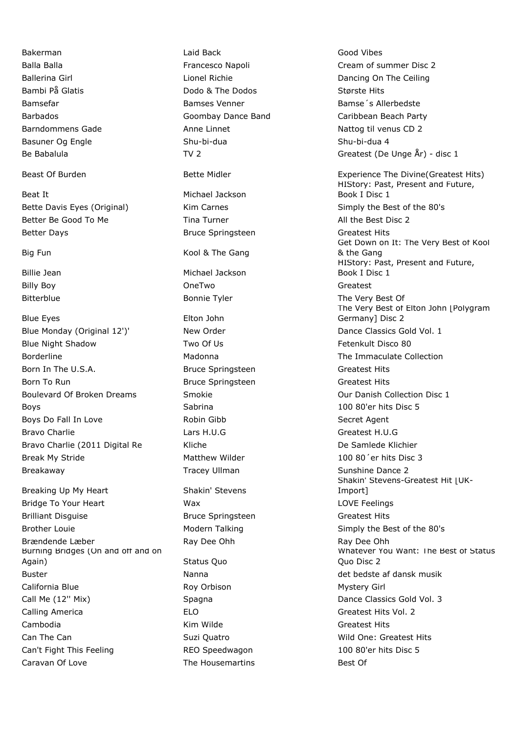Beat It Michael Jackson Better Be Good To Me Tina Turner Tina Turner All the Best Disc 2 Better Days **Bruce Springsteen** Greatest Hits Bruce Springsteen

Blue Eyes **Elton John** Blue Monday (Original 12')' New Order New Order Dance Classics Gold Vol. 1 Blue Night Shadow Two Of Us Fetenkult Disco 80 Borderline **Madonna** Madonna The Immaculate Collection Born In The U.S.A. **Bruce Springsteen** Greatest Hits Born In The U.S.A. Born To Run Bruce Springsteen Greatest Hits Boulevard Of Broken Dreams Smokie Smokie Collection Disc 1 Boys **Sabrina** 100 80'er hits Disc 5 Boys Do Fall In Love **Secret Agent** Robin Gibb **Secret Agent** Secret Agent Bravo Charlie **Charlie Charlie Lars H.U.G** Charlie Charlie Charlie Lars H.U.G Charlie Charlie Charlie Lars H.U.G Bravo Charlie (2011 Digital Re Kliche Kliche De Samlede Klichier Break My Stride The Matthew Wilder Matchew Wilder 100 80<sup>'</sup>er hits Disc 3 Breakaway **Sunshine Dance 2** Tracey Ullman Sunshine Dance 2

Breaking Up My Heart Shakin' Stevens Bridge To Your Heart Wax LOVE Feelings Brilliant Disguise Bruce Springsteen Greatest Hits Brother Louie **Modern Talking** Modern Talking Simply the Best of the 80's Brændende Læber **Ray Dee Ohh** Ray Dee Ohh Ray Dee Ohh Burning Bridges (On and off and on Again) Status Quo Buster Nanna Manna det bedste af dansk musik California Blue **Roy Orbison** Roy Orbison Mystery Girl Call Me (12'' Mix) Spagna Dance Classics Gold Vol. 3 Calling America ELO Greatest Hits Vol. 2 Cambodia Kim Wilde Greatest Hits Can The Can Suzi Quatro Mild One: Greatest Hits Can't Fight This Feeling This Feeling REO Speedwagon 100 80'er hits Disc 5 Caravan Of Love **The Housemartins** Best Of

Bakerman Laid Back Good Vibes Bambi På Glatis Dodo & The Dodos Største Hits Bamsefar Bamses Venner Bamse´s Allerbedste Barndommens Gade Anne Linnet Anne Linnet Nattog til venus CD 2 Basuner Og Engle Shu-bi-dua Shu-bi-dua 3 Shu-bi-dua 4

Big Fun **Kool & The Gang** 

Billie Jean Michael Jackson Billy Boy OneTwo Greatest

Balla Balla Francesco Napoli Cream of summer Disc 2 Ballerina Girl **Communist Communist Communist Communist Communist Communist Communist Communist Communist Communist Communist Communist Communist Communist Communist Communist Communist Communist Communist Communist Commun** Barbados Goombay Dance Band Caribbean Beach Party Be Babalula TV 2 Greatest (De Unge År) - disc 1 Beast Of Burden **Bette Midler** Bette Midler Experience The Divine(Greatest Hits) HIStory: Past, Present and Future, Book I Disc 1 Bette Davis Eyes (Original) Kim Carnes Simply the Best of the 80's Get Down on It: The Very Best of Kool & the Gang HIStory: Past, Present and Future, Book I Disc 1 Bitterblue **Bonnie Tyler** The Very Best Of Bonnie Tyler Communist Communist Communist Communist Communist Communist Communist Communist Communist Communist Communist Communist Communist Communist Communist Communist Commun The Very Best of Elton John [Polygram Germany] Disc 2 Shakin' Stevens-Greatest Hit [UK-Import] Whatever You Want: The Best of Status Quo Disc 2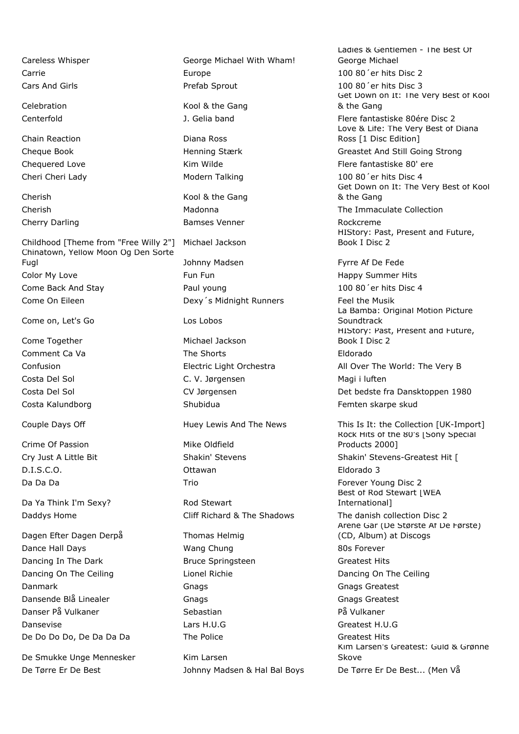Chain Reaction **Diana Ross** Chequered Love **Kim Wilde** Kim Wilde Flere fantastiske 80' ere

Childhood [Theme from "Free Willy 2"] Michael Jackson Chinatown, Yellow Moon Og Den Sorte Fugl Fugl Communication of the Solid Johnny Madsen Francisco Federation of The Federation of the Federation of the Federation of the Federation of the Federation of the Federation of the Tennes of the Tennes of the Tennes Color My Love **Fun Fun Fun Fun Fun Fun Fun Fun Fun** Happy Summer Hits Come Back And Stay Paul young 100 80´er hits Disc 4 Come On Eileen **Dexy's Midnight Runners** Feel the Musik

Come on, Let's Go Los Lobos

Come Together **Michael Jackson** 

Crime Of Passion Mike Oldfield D.I.S.C.O. Ottawan Eldorado 3

Da Ya Think I'm Sexy? Rod Stewart

Dagen Efter Dagen Derpå Thomas Helmig

De Smukke Unge Mennesker Kim Larsen

Careless Whisper George Michael With Wham! Carrie Europe 100 80´er hits Disc 2 Cars And Girls Prefab Sprout 100 80´er hits Disc 3

Celebration Celebration Celebration Celebration

Cherish Kool & the Gang Cherry Darling **Bamses Venner** Rockcreme Rockcreme

Comment Ca Va **The Shorts** The Shorts **Eldorado** Costa Del Sol C. V. Jørgensen Magi i luften Costa Kalundborg **Shubidua** Shubidua **Femten skarpe skud** 

Daddys Home The Shadows Cliff Richard & The Shadows The danish collection Disc 2

Dance Hall Days **Wang Chung 80s Forever** 80s Forever Dancing In The Dark **Bruce Springsteen** Greatest Hits Dancing On The Ceiling The Lionel Richie Contact Dancing On The Ceiling Dancing On The Ceiling Danmark Gnags Greatest Gnags Greatest Gnags Greatest Dansende Blå Linealer Gnags Gnags Greatest Danser På Vulkaner Sebastian Sebastian På Vulkaner Dansevise Lars H.U.G Greatest H.U.G De Do Do Do, De Da Da Da Da Come The Police Come Control of Greatest Hits

De Tørre Er De Best **De Best** Johnny Madsen & Hal Bal Boys De Tørre Er De Best... (Men Vå

Ladies & Gentlemen - The Best Of George Michael Get Down on It: The Very Best of Kool & the Gang Centerfold J. Gelia band Flere fantastiske 80ére Disc 2 Love & Life: The Very Best of Diana Ross [1 Disc Edition] Cheque Book Henning Stærk Greastet And Still Going Strong

Cheri Cheri Lady **Modern Talking** 100 80<sup>'</sup>er hits Disc 4 Get Down on It: The Very Best of Kool & the Gang

Cherish Madonna The Immaculate Collection

HIStory: Past, Present and Future, Book I Disc 2

La Bamba: Original Motion Picture **Soundtrack** HIStory: Past, Present and Future, Book I Disc 2 Confusion Electric Light Orchestra All Over The World: The Very B Costa Del Sol CV Jørgensen Det bedste fra Dansktoppen 1980

Couple Days Off **Huey Lewis And The News** This Is It: the Collection [UK-Import] Rock Hits of the 80's [Sony Special Products 2000] Cry Just A Little Bit **Shakin' Stevens Shakin' Stevens Shakin' Stevens** Shakin' Stevens-Greatest Hit [ Da Da Da Da Trio Forever Young Disc 2 Best of Rod Stewart | WEA International] Årene Går (De Største Af De Første) (CD, Album) at Discogs Kim Larsen's Greatest: Guld & Grønne Skove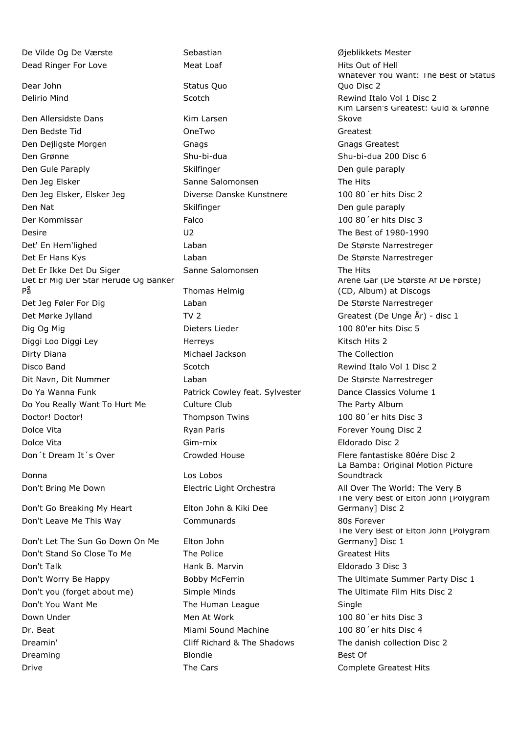Dead Ringer For Love **Meat Loaf** Meat Loaf **Hits Out of Hell** Dear John Status Quo Delirio Mind
Belirio Mind
Belirio Mind
Belirio Mind
Belirio Mind
Belirio Mind
Belirio Mind
Belirio Mind
Belirio Mind
Belirio Mind
Belirio Mind
Belirio Mind
Belirio Mind
Belirio Mind
Belirio Mind
Belirio Mind
Belirio Mind
B Den Allersidste Dans Kim Larsen Den Bedste Tid OneTwo Greatest Den Dejligste Morgen Gnags Gnags Greatest Den Grønne Shu-bi-dua Shu-bi-dua 200 Disc 6 Den Gule Paraply Skilfinger Den gule paraply Den Jeg Elsker Sanne Salomonsen The Hits Den Jeg Elsker, Elsker Jeg Diverse Danske Kunstnere 100 80´er hits Disc 2 Den Nat Skilfinger Den gule paraply Der Kommissar Falco 100 80´er hits Disc 3 Desire U2 The Best of 1980-1990 Det' En Hem'lighed Laban De Største Narrestreger Det Er Hans Kys Laban De Største Narrestreger Det Er Ikke Det Du Siger Sanne Salomonsen The Hits Det Er Mig Der Står Herude Og Banker På Thomas Helmig Det Jeg Føler For Dig Laban De Største Narrestreger Det Mørke Jylland TV 2 TV 2 Greatest (De Unge År) - disc 1 Dig Og Mig **Dieters Lieder** 100 80'er hits Disc 5 Diggi Loo Diggi Ley Herreys Kitsch Hits 2 Dirty Diana Michael Jackson The Collection Disco Band **Scotch** Scotch **Scotch** Rewind Italo Vol 1 Disc 2 Dit Navn, Dit Nummer Laban De Største Narrestreger Do Ya Wanna Funk **Patrick Cowley feat. Sylvester** Dance Classics Volume 1 Do You Really Want To Hurt Me Culture Club The Party Album Doctor! Doctor! Thompson Twins 100 80´er hits Disc 3 Dolce Vita **Ryan Paris Forever Young Disc 2** Collection Ryan Paris **Forever Young Disc 2** Dolce Vita Gim-mix Eldorado Disc 2 Don't Dream It's Over **Crowded House** Flere fantastiske 80ére Disc 2

Donna Los Lobos

Don't Go Breaking My Heart Elton John & Kiki Dee

Don't Let The Sun Go Down On Me Elton John Don't Stand So Close To Me The Police The Police Construction of Greatest Hits Don't Talk Hank B. Marvin Eldorado 3 Disc 3 Don't Worry Be Happy **Bobby McFerrin** The Ultimate Summer Party Disc 1 Don't you (forget about me) Simple Minds The Ultimate Film Hits Disc 2 Don't You Want Me The Human League The Human League Down Under The Men At Work 100 80<sup>'</sup>er hits Disc 3 Dr. Beat Miami Sound Machine 100 80´er hits Disc 4 Dreamin' Cliff Richard & The Shadows The danish collection Disc 2 Dreaming Blondie Blondie Blondie Best Of Drive **The Cars** Complete Greatest Hits Complete Greatest Hits

De Vilde Og De Værste Sebastian Sebastian Øjeblikkets Mester Don't Leave Me This Way **Communards** 80s Forever

Whatever You Want: The Best of Status Quo Disc 2 Kim Larsen's Greatest: Guld & Grønne Skove Årene Går (De Største Af De Første) (CD, Album) at Discogs La Bamba: Original Motion Picture **Soundtrack** Don't Bring Me Down Electric Light Orchestra All Over The World: The Very B The Very Best of Elton John | Polygram Germany] Disc 2 The Very Best of Elton John | Polygram Germany] Disc 1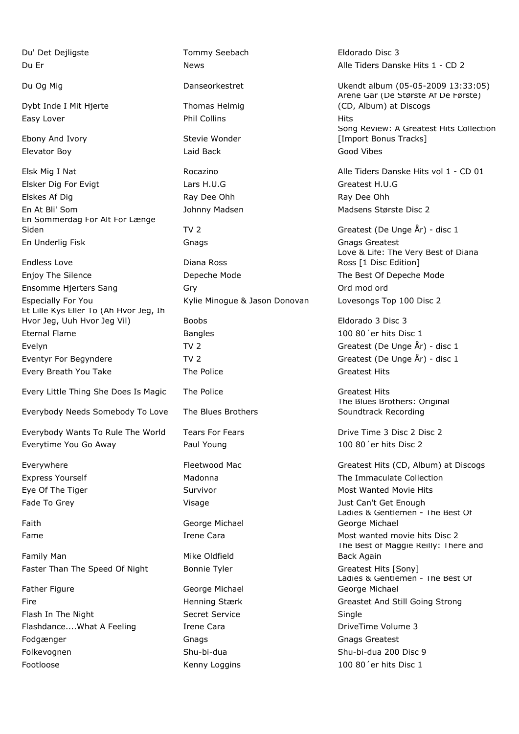Du' Det Dejligste Tommy Seebach Eldorado Disc 3

Dybt Inde I Mit Hierte Thomas Helmig Easy Lover **Phil Collins Phil Collins Phil Collins Phil Collins Phil Collins** 

Ebony And Ivory **Stevie Wonder** Elevator Boy Laid Back Good Vibes

Elsk Mig I Nat **Rocazino** Rocazino **Alle Tiders Danske Hits vol 1 - CD 01** Elsker Dig For Evigt Lars H.U.G Greatest H.U.G Elskes Af Dig **Ray Dee Ohh** Ray Dee Ohh Ray Dee Ohh En At Bli' Som and The State Disc 2 and Johnny Madsen Madsen Madsens Største Disc 2 En Sommerdag For Alt For Længe Siden TV 2 Greatest (De Unge År) - disc 1 En Underlig Fisk Gnags Gnags Greatest

Endless Love **Diana Ross** Enjoy The Silence The Best Of Depeche Mode The Best Of Depeche Mode Ensomme Hjerters Sang Gry Gry Communication of the Communication of the Communication of the Communication of the Communication of the Communication of the Communication of the Communication of the Communication of the Com Especially For You Kylie Minogue & Jason Donovan Lovesongs Top 100 Disc 2 Et Lille Kys Eller To (Åh Hvor Jeg, Ih Hvor Jeg, Uuh Hvor Jeg Vil) Boobs Eldorado 3 Disc 3 Eternal Flame **Bangles Bangles Bangles Bangles Bangles Bangles Bangles Bangles Bangles Bangles Bangles Bangles Bangles Bangles Bangles Bangles Bangles Bangles Bangles Bangles Bangles** Evelyn Charles TV 2 Createst (De Unge År) - disc 1 Eventyr For Begyndere TV 2 TV 2 Greatest (De Unge År) - disc 1 Every Breath You Take The Police The Police Createst Hits

Every Little Thing She Does Is Magic The Police The Steam Assessment Rits

Everybody Needs Somebody To Love The Blues Brothers

Everybody Wants To Rule The World Tears For Fears The Mondon Chrive Time 3 Disc 2 Disc 2 Everytime You Go Away Paul Young 100 80´er hits Disc 2

Family Man Mike Oldfield Faster Than The Speed Of Night Bonnie Tyler Greatest Hits [Sony]

Father Figure **George Michael** Flash In The Night Secret Service Single Flashdance....What A Feeling Trene Cara **Internet Cara Irene Cara** DriveTime Volume 3 Fodgænger Gnags Greatest Gnags Greatest Gnags Greatest Gnags Greatest Gnags Greatest Folkevognen Shu-bi-dua Shu-bi-dua 200 Disc 9 Footloose **Kenny Loggins** Kenny Loggins 100 80<sup>'</sup>er hits Disc 1

Faith **Faith** George Michael

Du Er News Alle Tiders Danske Hits 1 - CD 2

Du Og Mig Danseorkestret Ukendt album (05-05-2009 13:33:05) Årene Går (De Største Af De Første) (CD, Album) at Discogs Song Review: A Greatest Hits Collection [Import Bonus Tracks]

Love & Life: The Very Best of Diana Ross [1 Disc Edition]

The Blues Brothers: Original Soundtrack Recording

Everywhere The Fleetwood Mac Greatest Hits (CD, Album) at Discogs Express Yourself **Express Yourself** Madonna The Immaculate Collection Eye Of The Tiger The Most Wanted Movie Hits Survivor Controller Most Wanted Movie Hits Fade To Grey The Contract Contract Contract Contract Visage The Contract Can't Get Enough Ladies & Gentlemen - The Best Of George Michael Fame Trene Cara Most wanted movie hits Disc 2 The Best of Maggie Reilly: There and Back Again Ladies & Gentlemen - The Best Of George Michael Fire Henning Stærk Greastet And Still Going Strong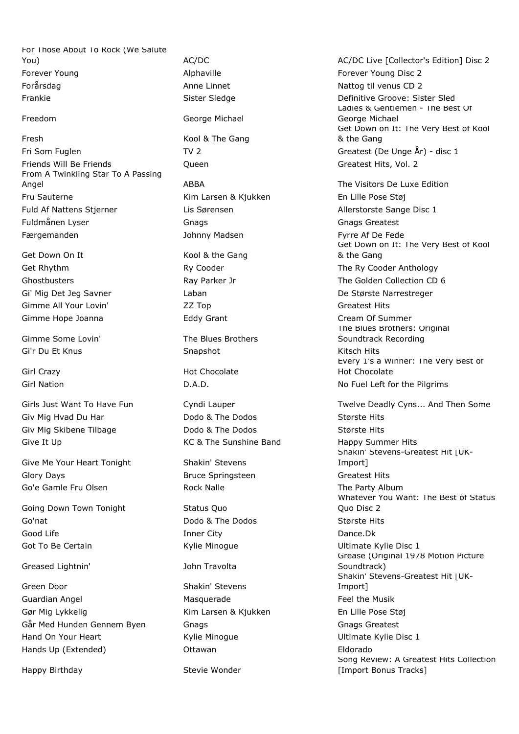For Those About To Rock (We Salute You) The Contract Contract AC/DC AC/DC AC/DC Live [Collector's Edition] Disc 2 Forever Young The Community Controller Alphaville Forever Young Disc 2 Forårsdag **Anne Linnet** Mattog til venus CD 2 Frankie Sister Sledge Befinitive Groove: Sister Sledge Sister Sledge Befinitive Groove: Sister Sled

Fresh Kool & The Gang Fri Som Fuglen TV 2 TV 2 Greatest (De Unge År) - disc 1 Friends Will Be Friends **COMIC CONTENTS** Controller Controller Controller Greatest Hits, Vol. 2 From A Twinkling Star To A Passing Angel **ABBA** The Visitors De Luxe Edition ABBA Fru Sauterne Kim Larsen & Kjukken En Lille Pose Støj Fuld Af Nattens Stjerner The Lis Sørensen Allerstorste Sange Disc 1 Fuldmånen Lyser Gnags Gnags Greatest Færgemanden af Dennes Johnny Madsen Ferre Af De Fede

Get Down On It Kool & the Gang Gimme All Your Lovin' The Case of ZZ Top Communication Greatest Hits Gimme Hope Joanna **Eddy Grant** Cream Of Summer

Gi'r Du Et Knus **Snapshot** Snapshot **Snapshot** Snapshot Kitsch Hits

Giv Mig Hvad Du Har **Dodo & The Dodos** Største Hits Giv Mig Skibene Tilbage The Dodo & The Dodos Største Hits Give It Up **KC & The Sunshine Band** Happy Summer Hits

Give Me Your Heart Tonight Shakin' Stevens Glory Days **Bruce Springsteen** Greatest Hits Go'e Gamle Fru Olsen The Party Album Rock Nalle The Party Album

Going Down Town Tonight Status Quo Go'nat **Dodo & The Dodos** Største Hits Co'nat Good Life **Inner City** Dance.Dk Got To Be Certain **Example 2** Kylie Minogue **Constants Ultimate Kylie Disc 1** 

## Greased Lightnin' John Travolta

Green Door Shakin' Stevens Guardian Angel **Feel the Music Contract Contract Contract Contract Contract Contract Contract Contract Contract Contract Contract Contract Contract Contract Contract Contract Contract Contract Contract Contract Contract Co** Gør Mig Lykkelig Kim Larsen & Kjukken En Lille Pose Støj Går Med Hunden Gennem Byen Gnags Greatest Gnags Greatest Hand On Your Heart **East Communist Communist Communist Communist Communist Communist Communist Communist Communist Communist Communist Communist Communist Communist Communist Communist Communist Communist Communist Communi** Hands Up (Extended) Ottawan Eldorado

Happy Birthday **Stevie Wonder** 

Freedom George Michael

Gimme Some Lovin' The Blues Brothers

Girl Crazy **Hot Chocolate** 

Ladies & Gentlemen - The Best Of George Michael Get Down on It: The Very Best of Kool & the Gang

Get Down on It: The Very Best of Kool & the Gang Get Rhythm **Ry Cooder Cooperable Ry Cooder Anthology** Cooder Anthology Ghostbusters **Ray Parker Jr Collection CD** 6 Chostbusters CD 6 Gi' Mig Det Jeg Savner Laban De Største Narrestreger The Blues Brothers: Original Soundtrack Recording Every 1's a Winner: The Very Best of Hot Chocolate

Girl Nation **Calculation** D.A.D. No Fuel Left for the Pilgrims

Girls Just Want To Have Fun Cyndi Lauper Twelve Deadly Cyns... And Then Some Shakin' Stevens-Greatest Hit [UK-Import] Whatever You Want: The Best of Status Quo Disc 2 Grease (Original 1978 Motion Picture Soundtrack) Shakin' Stevens-Greatest Hit [UK-Import] Song Review: A Greatest Hits Collection [Import Bonus Tracks]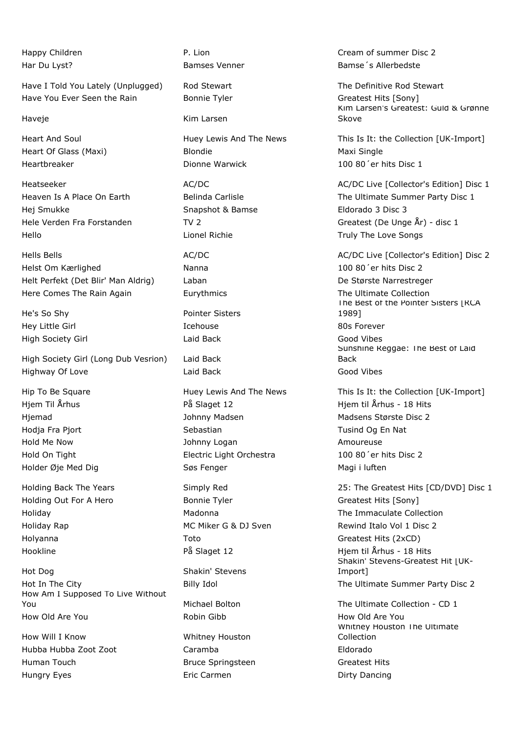Have I Told You Lately (Unplugged) Rod Stewart The Definitive Rod Stewart Have You Ever Seen the Rain Bonnie Tyler Greatest Hits [Sony]

Hej Smukke Snapshot & Bamse Eldorado 3 Disc 3 Hello Lionel Richie Truly The Love Songs

Helst Om Kærlighed Nanna 100 80´er hits Disc 2 Helt Perfekt (Det Blir' Man Aldrig) Laban De Største Narrestreger Here Comes The Rain Again **Eurythmics** Eurythmics The Ultimate Collection

He's So Shy **Pointer Sisters** Hey Little Girl **Icehouse** 80s Forever High Society Girl Laid Back Good Vibes

High Society Girl (Long Dub Vesrion) Laid Back Highway Of Love **Laid Back** Constants Good Vibes

Holding Out For A Hero **Bonnie Tyler** Greatest Hits [Sony] Holyanna Toto Greatest Hits (2xCD)

Hot Dog Shakin' Stevens Hot In The City **Example 2 State Community Idol** The Ultimate Summer Party Disc 2 How Am I Supposed To Live Without You Michael Bolton The Ultimate Collection - CD 1 How Old Are You Robin Gibb How Old Are You

How Will I Know Whitney Houston Hubba Hubba Zoot Zoot Caramba Eldorado Human Touch Bruce Springsteen Greatest Hits Hungry Eyes **Exercise Exercise Exercise Exercise Eric Carmen Exercise Exercise Exercise Pointlet** Dirty Dancing

Haveje **Kim Larsen** 

Heart Of Glass (Maxi) and Blondie Maxi Single Maxi Single Heartbreaker Dionne Warwick 100 80´er hits Disc 1

Hjem Til Århus **På Slaget 12** Hjem til Århus - 18 Hits Hjemad Madsen Madsen Madsen Madsen Madsens Største Disc 2 Hodja Fra Pjort Sebastian Tusind Og En Nat Hold Me Now **South Amoureuse** Johnny Logan **Amoureuse** Amoureuse Hold On Tight **Electric Light Orchestra** 100 80<sup>'</sup>er hits Disc 2 Holder Øje Med Dig North Controller Søs Fenger Magi i luften Magi i luften

Happy Children **P. Lion** P. Lion Cream of summer Disc 2 Har Du Lyst? The Summary State of Bamses Venner The State of State Bamse's Allerbedste

> Kim Larsen's Greatest: Guld & Grønne **Skove**

Heart And Soul **Huey Lewis And The News** This Is It: the Collection [UK-Import]

Heatseeker **AC/DC** AC/DC AC/DC AC/DC AC/DC AC/DC Live [Collector's Edition] Disc 1 Heaven Is A Place On Earth **Belinda Carlisle Carlisle** The Ultimate Summer Party Disc 1 Hele Verden Fra Forstanden TV 2 Greatest (De Unge År) - disc 1

Hells Bells **AC/DC** AC/DC AC/DC AC/DC AC/DC Live [Collector's Edition] Disc 2

The Best of the Pointer Sisters | RCA 1989] Sunshine Reggae: The Best of Laid Back

Hip To Be Square **Huey Lewis And The News** This Is It: the Collection [UK-Import]

Holding Back The Years Simply Red 25: The Greatest Hits [CD/DVD] Disc 1 Holiday Madonna The Immaculate Collection Holiday Rap **MIC Miker G & DJ Sven** Rewind Italo Vol 1 Disc 2 Hookline På Slaget 12 Hjem til Århus - 18 Hits Shakin' Stevens-Greatest Hit [UK-Import]

> Whitney Houston The Ultimate Collection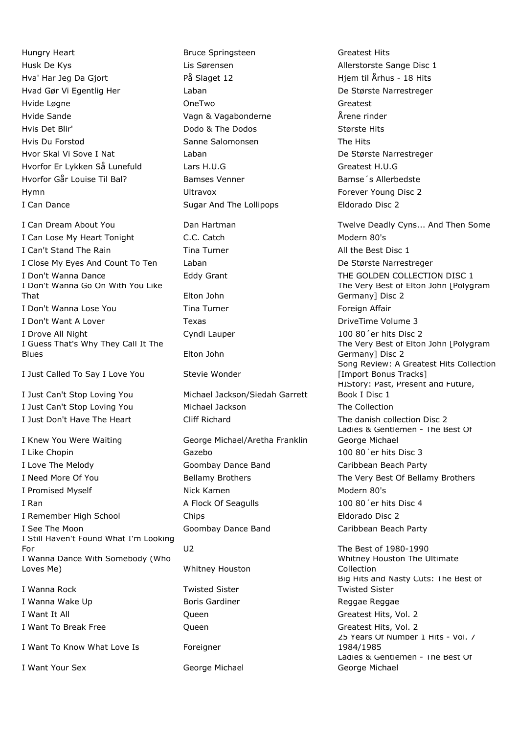Hungry Heart **Bruce Springsteen** Greatest Hits Bruce Springsteen Husk De Kys Lis Sørensen Allerstorste Sange Disc 1 Hva' Har Jeg Da Gjort 
På Slaget 12 Metal av Hjem til Århus - 18 Hits Hvad Gør Vi Egentlig Her Laban De Største Narrestreger Hvide Løgne OneTwo Greatest Hvide Sande Vagn & Vagabonderne Årene rinder Hvis Det Blir' Dodo & The Dodos Største Hits Hvis Du Forstod Sanne Salomonsen The Hits Hvor Skal Vi Sove I Nat Laban De Største Narrestreger Hvorfor Er Lykken Så Lunefuld Lars H.U.G Greatest H.U.G Hvorfor Går Louise Til Bal? Bamses Venner Bamses Venner Bamse <sup>'</sup>s Allerbedste Hymn **Example 2 Hymn** Ultravox **Constructs Forever Young Disc 2** I Can Dance **Sugar And The Lollipops** Eldorado Disc 2

I Can Lose My Heart Tonight C.C. Catch C.C. Catch Modern 80's I Can't Stand The Rain Transform Tina Turner Transform All the Best Disc 1 I Close My Eyes And Count To Ten Laban Laban De Største Narrestreger I Don't Wanna Dance **Eddy Grant** Eddy Grant THE GOLDEN COLLECTION DISC 1 I Don't Wanna Go On With You Like That Elton John I Don't Wanna Lose You **Foreign Affair** Tina Turner **Foreign Affair** Foreign Affair I Don't Want A Lover **Texas** Texas **Texas** DriveTime Volume 3 I Drove All Night Cyndi Lauper 100 80'er hits Disc 2 I Guess That's Why They Call It The Blues Elton John

I Just Called To Say I Love You Stevie Wonder

I Knew You Were Waiting George Michael/Aretha Franklin I Like Chopin **Example 200 80°** Cazebo 100 80<sup>°</sup> er hits Disc 3 I Love The Melody Goombay Dance Band Caribbean Beach Party I Need More Of You **Bellamy Brothers** The Very Best Of Bellamy Brothers The Very Best Of Bellamy Brothers I Promised Myself Nick Kamen Modern 80's I Ran A Flock Of Seagulls 100 80'er hits Disc 4 I Remember High School Chips Eldorado Disc 2 I See The Moon Goombay Dance Band Caribbean Beach Party I Still Haven't Found What I'm Looking For U2 The Best of 1980-1990 I Wanna Dance With Somebody (Who Loves Me) Whitney Houston

I Wanna Rock Twisted Sister I Wanna Wake Up **Boris Gardiner Boris Gardiner Reggae Reggae** Reggae I Want It All **COMENT COMENT CONTACT CONTACT CONTACT CONTACT CONTACT CONTACT CONTACT CONTACT CONTACT CONTACT CONTACT CONTACT CONTACT CONTACT CONTACT CONTACT CONTACT CONTACT CONTACT CONTACT CONTACT CONTACT CONTACT CONTACT C** I Want To Break Free The Communication Control Communication Control Control Control Control Control Control Co

I Want To Know What Love Is Foreigner

I Want Your Sex George Michael

I Just Can't Stop Loving You Michael Jackson/Siedah Garrett I Just Can't Stop Loving You Michael Jackson The Collection I Just Don't Have The Heart Cliff Richard The danish collection Disc 2

I Can Dream About You **Dan Hartman** Twelve Deadly Cyns... And Then Some The Very Best of Elton John [Polygram Germany] Disc 2 The Very Best of Elton John [Polygram Germany] Disc 2 Song Review: A Greatest Hits Collection [Import Bonus Tracks] HIStory: Past, Present and Future, Book I Disc 1 Ladies & Gentlemen - The Best Of George Michael Whitney Houston The Ultimate

Collection Big Hits and Nasty Cuts: The Best of Twisted Sister 25 Years Of Number 1 Hits - Vol. 7 1984/1985 Ladies & Gentlemen - The Best Of George Michael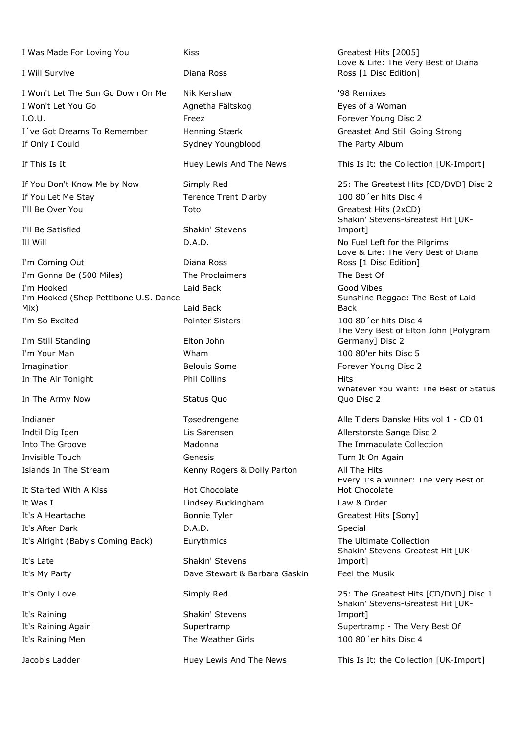I Was Made For Loving You Kiss Kiss Greatest Hits [2005]

I Will Survive Diana Ross

I Won't Let The Sun Go Down On Me Nik Kershaw '98 Remixes I Won't Let You Go **Agnetha Fältskog Eyes of a Woman** I.O.U. **Freez** Freez Freez Forever Young Disc 2 I´ve Got Dreams To Remember Henning Stærk Greastet And Still Going Strong If Only I Could Sydney Youngblood The Party Album

If You Let Me Stay Terence Trent D'arby 100 80'er hits Disc 4 I'll Be Over You **The Community Contract Toto** Greatest Hits (2xCD)

I'll Be Satisfied Shakin' Stevens

I'm Coming Out Diana Ross I'm Gonna Be (500 Miles) The Proclaimers The Best Of I'm Hooked Laid Back Good Vibes I'm Hooked (Shep Pettibone U.S. Dance Mix) Laid Back I'm So Excited Pointer Sisters 100 80´er hits Disc 4

I'm Still Standing The Still Standing Elton John In The Air Tonight **Phil Collins** Phil Collins **Hits** 

In The Army Now Status Quo

It Started With A Kiss Hot Chocolate It Was I Lindsey Buckingham Law & Order It's A Heartache **Bonnie Tyler** Bonnie Tyler Greatest Hits [Sony] It's After Dark **D.A.D.** D.A.D. Special It's Alright (Baby's Coming Back) Eurythmics The Ultimate Collection

It's Raining The Shakin' Stevens

Indtil Dig Igen Lis Sørensen Allerstorste Sange Disc 2 Into The Groove **Madonna** Madonna The Immaculate Collection Invisible Touch **Genesis** Genesis Turn It On Again Islands In The Stream Kenny Rogers & Dolly Parton All The Hits

It's Late Shakin' Stevens It's My Party **Dave Stewart & Barbara Gaskin** Feel the Musik

Love & Life: The Very Best of Diana Ross [1 Disc Edition]

If This Is It **Interport Is It State Huey Lewis And The News** This Is It: the Collection [UK-Import]

If You Don't Know Me by Now Simply Red 25: The Greatest Hits [CD/DVD] Disc 2 Shakin' Stevens-Greatest Hit | UK-Import] Ill Will D.A.D. No Fuel Left for the Pilgrims Love & Life: The Very Best of Diana Ross [1 Disc Edition] Sunshine Reggae: The Best of Laid Back The Very Best of Elton John | Polygram Germany] Disc 2 I'm Your Man Wham 100 80'er hits Disc 5 Imagination **Example 2** Belouis Some **Forever Young Disc 2 Forever Young Disc 2** Whatever You Want: The Best of Status Quo Disc 2 Indianer Tøsedrengene Alle Tiders Danske Hits vol 1 - CD 01 Every 1's a Winner: The Very Best of Hot Chocolate Shakin' Stevens-Greatest Hit | UK-Import]

It's Only Love **Simply Red** 25: The Greatest Hits [CD/DVD] Disc 1 Shakin' Stevens-Greatest Hit [UK-Import] It's Raining Again **Supertramp** Supertramp Supertramp Supertramp - The Very Best Of It's Raining Men The Weather Girls 100 80<sup>'</sup>er hits Disc 4

Jacob's Ladder **Huey Lewis And The News** This Is It: the Collection [UK-Import]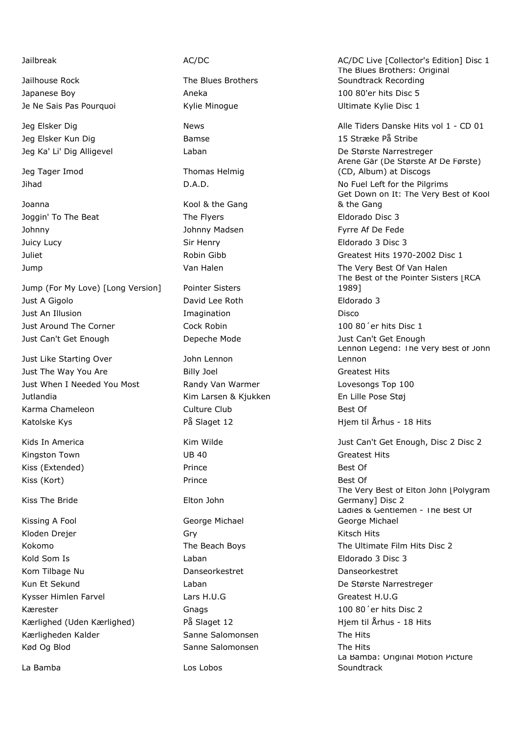Jailhouse Rock The Blues Brothers Japanese Boy **Aneka** 100 80'er hits Disc 5 Je Ne Sais Pas Pourquoi Kylie Minogue Ultimate Kylie Disc 1

Jeg Elsker Kun Dig 15 Stræke På Stribe 15 Stræke På Stribe

Jeg Tager Imod Thomas Helmig

Joanna **Marson Communist Cool & the Gang** Joggin' To The Beat The Flyers Eldorado Disc 3 Johnny Johnny Madsen Fyrre Af De Fede Juicy Lucy Sir Henry Eldorado 3 Disc 3

Jump (For My Love) [Long Version] Pointer Sisters Just A Gigolo David Lee Roth Eldorado 3 Just An Illusion Imagination Disco Just Around The Corner Cock Robin Cock Robin 100 80<sup>'</sup> er hits Disc 1 Just Can't Get Enough Depeche Mode Just Can't Get Enough

Just Like Starting Over **John Lennon** Just The Way You Are **Billy Joel** Billy Joel **Greatest Hits** Just When I Needed You Most Randy Van Warmer Lovesongs Top 100 Jutlandia Kim Larsen & Kjukken En Lille Pose Støj Karma Chameleon **Culture Club** Culture Club Best Of Katolske Kys **På Slaget 12** Hjem til Århus - 18 Hits

Kingston Town **Contract Contract Contract UB 40** Greatest Hits Greatest Hits Kiss (Extended) and Best Of Prince Best Of Best Of Best Of Best Of Best Of Best Of Best Of Best Of Best Of Best Of Best Of Best Of Best Of Best Of Best Of Best Of Best Of Best Of Best Of Best Of Best Of Best Of Best Of Bes Kiss (Kort) **Prince** Best Of Best Of Best Of Best Of Best Of Best Of Best Of Best Of Best Of Best Of Best Of Best Of Best Of Best Of Best Of Best Of Best Of Best Of Best Of Best Of Best Of Best Of Best Of Best Of Best Of B

Kiss The Bride **Elton** John

Kissing A Fool **George Michael** Kloden Drejer Gry Gry Gry Gry Gry Gry Kitsch Hits Kold Som Is Laban Eldorado 3 Disc 3 Kom Tilbage Nu danseorkestret banseorkestret banseorkestret banseorkestret Kun Et Sekund **De Største Narrestreger** Laban De Største Narrestreger Kysser Himlen Farvel **Lars H.U.G** Createst H.U.G Createst H.U.G Kærester Gnags 100 80´er hits Disc 2 Kærlighed (Uden Kærlighed) På Slaget 12 Hjem til Århus - 18 Hits Kærligheden Kalder Sanne Salomonsen The Hits Kød Og Blod Sanne Salomonsen Sanne Salomonsen Sanne Salomonsen Sanne Salomonsen Sanne Salomonsen Sanne Salomonsen

La Bamba **Los Lobos** 

Jailbreak **AC/DC** AC/DC AC/DC AC/DC AC/DC AC/DC Live [Collector's Edition] Disc 1 The Blues Brothers: Original Soundtrack Recording

Jeg Elsker Dig News Alle Tiders Danske Hits vol 1 - CD 01 Jeg Ka' Li' Dig Alligevel Laban De Største Narrestreger Årene Går (De Største Af De Første) (CD, Album) at Discogs Jihad D.A.D. No Fuel Left for the Pilgrims Get Down on It: The Very Best of Kool & the Gang Juliet Robin Gibb Greatest Hits 1970-2002 Disc 1 Jump **Van Halen** Van Halen The Very Best Of Van Halen The Best of the Pointer Sisters | RCA 1989] Lennon Legend: The Very Best of John Lennon Kids In America **Kim Wilde Communist Can't Get Enough, Disc 2 Disc 2** Disc 2 Disc 2 The Very Best of Elton John [Polygram Germany] Disc 2 Ladies & Gentlemen - The Best Of George Michael Kokomo **The Beach Boys** The Beach The Ultimate Film Hits Disc 2 La Bamba: Original Motion Picture **Soundtrack**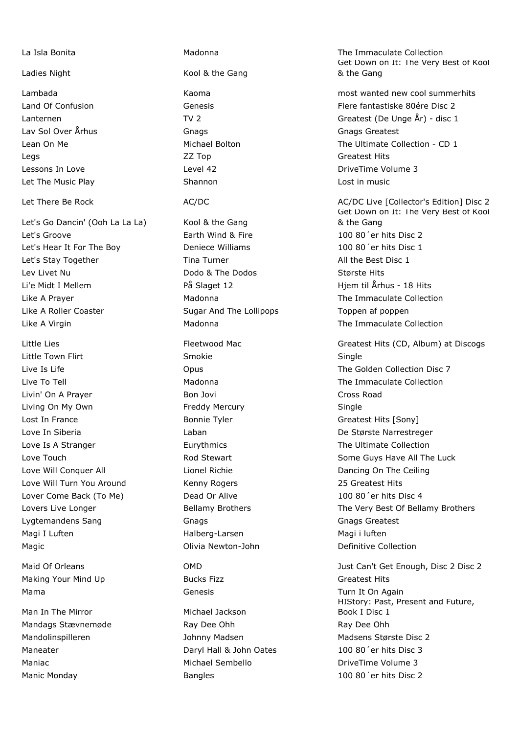Let's Go Dancin' (Ooh La La La) Kool & the Gang Let's Groove Earth Wind & Fire 100 80´er hits Disc 2 Let's Hear It For The Boy **Deniece Williams** 100 80<sup>'</sup> er hits Disc 1 Let's Stay Together **Tima Turner** Time Turner All the Best Disc 1 Lev Livet Nu **Dodo & The Dodos** Største Hits Li'e Midt I Mellem **På Slaget 12** Hiem til Århus - 18 Hits en 19 Hits Like A Prayer **Mature A Prayer A Collection** Madonna **The Immaculate Collection** Like A Roller Coaster The Sugar And The Lollipops Toppen af poppen Like A Virgin **Matooma** Madonna **The Immaculate Collection** 

Little Town Flirt **Supplement Contract Contract Smokie** Smokie Single Livin' On A Prayer **Bon Jovi Cross Road** Cross Road Living On My Own **Freddy Mercury Single** Single Lost In France **Bonnie Tyler** Greatest Hits [Sony] Love In Siberia Laban De Største Narrestreger Love Is A Stranger Eurythmics The Ultimate Collection Love Will Conquer All **Lionel Richie Love On The Ceiling** Dancing On The Ceiling Love Will Turn You Around Kenny Rogers 25 Greatest Hits Lover Come Back (To Me) Dead Or Alive 100 80<sup>'</sup>er hits Disc 4 Lygtemandens Sang Gnags Gnags Greatest Gnags Greatest Magi I Luften Halberg-Larsen Magi i luften Magic **Newton-John** Divia Newton-John Definitive Collection

Making Your Mind Up Bucks Fizz Greatest Hits Mama **Mama** Genesis Genesis Turn It On Again

Man In The Mirror **Michael Jackson** 

Ladies Night Kool & the Gang Lav Sol Over Århus Gnags Gnags Greatest Legs ZZ Top Greatest Hits Lessons In Love Level 42 Level 42 DriveTime Volume 3 Let The Music Play **Shannon** Shannon **Lost in music** 

Mandags Stævnemøde **Ray Dee Ohh** Ray Dee Ohh Ray Dee Ohh Mandolinspilleren Madsen Johnny Madsen Madsen Madsens Største Disc 2 Maneater Daryl Hall & John Oates 100 80´er hits Disc 3 Maniac **Michael Sembello** DriveTime Volume 3 Manic Monday Bangles 100 80´er hits Disc 2

La Isla Bonita Madonna The Immaculate Collection Get Down on It: The Very Best of Kool & the Gang

Lambada Kaoma most wanted new cool summerhits Land Of Confusion Genesis Flere fantastiske 80ére Disc 2 Lanternen TV 2 TV 2 Greatest (De Unge År) - disc 1 Lean On Me **Michael Bolton** The Ultimate Collection - CD 1

Let There Be Rock **AC/DC** AC/DC AC/DC AC/DC AC/DC Live [Collector's Edition] Disc 2 Get Down on It: The Very Best of Kool & the Gang

Little Lies **Fleetwood Mac** Greatest Hits (CD, Album) at Discogs **Greatest Hits** (CD, Album) at Discogs Live Is Life Opus The Golden Collection Disc 7 Live To Tell Madonna The Immaculate Collection Love Touch **Rod Stewart** Communications Communications Communications Communications Communications Communication Lovers Live Longer The Very Best Of Bellamy Brothers The Very Best Of Bellamy Brothers

Maid Of Orleans **OMD** OMD Just Can't Get Enough, Disc 2 Disc 2 HIStory: Past, Present and Future, Book I Disc 1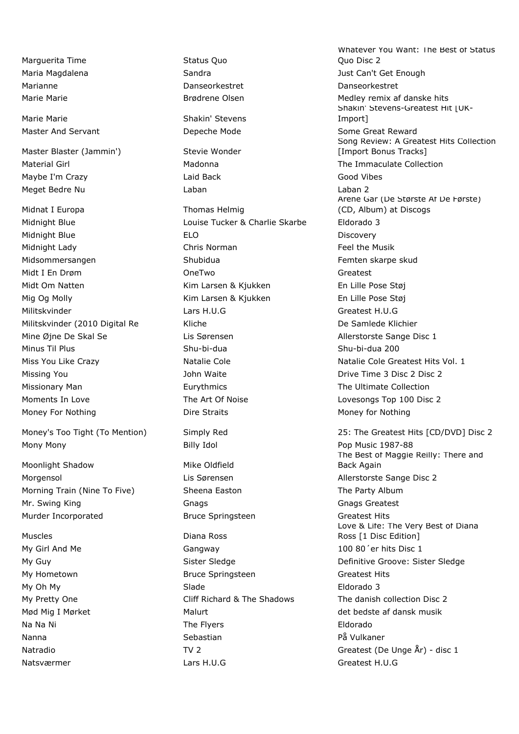Marquerita Time Status Quo Marianne Danseorkestret Danseorkestret

Marie Marie **Marie Shakin' Stevens** 

Master Blaster (Jammin') Stevie Wonder Maybe I'm Crazy Laid Back Good Vibes Meget Bedre Nu Laban Laban 2

Midnat I Europa Thomas Helmig Midnight Blue Louise Tucker & Charlie Skarbe Eldorado 3 Midnight Blue **ELO ELO ELO Discovery** Midnight Lady Chris Norman Feel the Musik Midsommersangen and Shubidua Femten skarpe skud Midt I En Drøm OneTwo Greatest Midt Om Natten The Kim Larsen & Kjukken En Lille Pose Støj Mig Og Molly **Kim Larsen & Kjukken** En Lille Pose Støj Militskvinder Lars H.U.G Greatest H.U.G Militskvinder (2010 Digital Re Kliche De Samlede Klichier Mine Øjne De Skal Se Lis Sørensen Allerstorste Sange Disc 1 Minus Til Plus Shu-bi-dua Shu-bi-dua 200 Missing You **Drive Time 3 Disc 2 Disc 2** Drive Time 3 Disc 2 Disc 2 Disc 2 Missionary Man **Eurythmics** The Ultimate Collection Collection Moments In Love The Art Of Noise Lovesongs Top 100 Disc 2 Money For Nothing The Straits Controller Money for Nothing Money for Nothing Money for Nothing

Mony Mony Billy Idol Pop Music 1987-88

Moonlight Shadow Mike Oldfield Morgensol **Morgensol** Lis Sørensen Allerstorste Sange Disc 2 Morning Train (Nine To Five) Sheena Easton The Party Album Mr. Swing King Greatest Gnags Greatest Gnags Greatest Gnags Greatest Murder Incorporated Bruce Springsteen Greatest Hits

Muscles **Diana Ross** 

My Girl And Me Gangway Gangway 100 80'er hits Disc 1 My Hometown Bruce Springsteen Greatest Hits My Oh My Slade **Eldorado 3** My Pretty One Cliff Richard & The Shadows The danish collection Disc 2 Mød Mig I Mørket Malurt Malurt Malurt det bedste af dansk musik Na Na Ni Na Ni The Flyers Changes and The Eldorado Nanna Sebastian Sebastian På Vulkaner Natsværmer **Lars H.U.G** Lars H.U.G Greatest H.U.G Createst H.U.G Createst H.U.G C

Whatever You Want: The Best of Status Quo Disc 2 Maria Magdalena **Magdalena** Sandra Sandra Just Can't Get Enough Marie Marie Marie Broom Brødrene Olsen Medley remix af danske hits Shakin' Stevens-Greatest Hit [UK-Import] Master And Servant **National Servant** Depeche Mode Some Great Reward Song Review: A Greatest Hits Collection [Import Bonus Tracks] Material Girl **Material Collection** Madonna **The Immaculate Collection** Årene Går (De Største Af De Første) (CD, Album) at Discogs Miss You Like Crazy Natalie Cole Natalie Cole Greatest Hits Vol. 1 Money's Too Tight (To Mention) Simply Red 25: The Greatest Hits [CD/DVD] Disc 2

The Best of Maggie Reilly: There and Back Again Love & Life: The Very Best of Diana Ross [1 Disc Edition] My Guy Sister Sledge Beau Controller Supervisory Controller School and Definitive Groove: Sister Sledge Natradio TV 2 TV 2 Greatest (De Unge År) - disc 1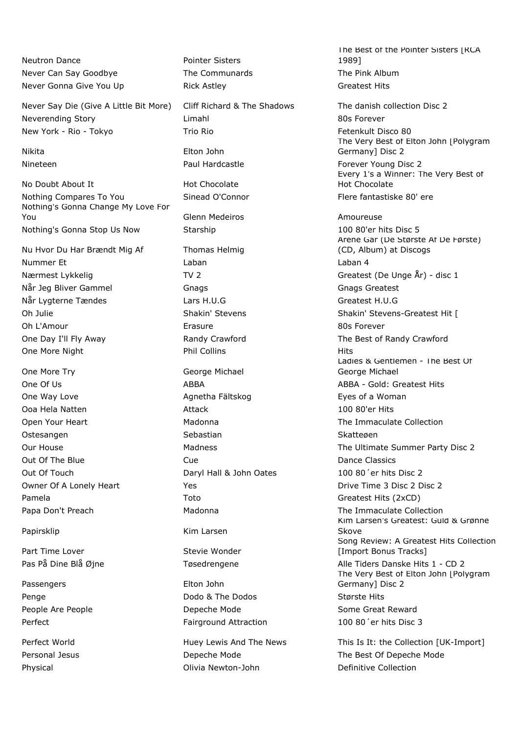Neutron Dance **Pointer Sisters** Never Can Say Goodbye The Communards The The Pink Album Never Gonna Give You Up **Rick Astley Connaiss Connaiss Createst Hits** 

Never Say Die (Give A Little Bit More) Cliff Richard & The Shadows The danish collection Disc 2 Neverending Story **Network** Limahl 80s Forever New York - Rio - Tokyo Trio Rio Fetenkult Disco 80

No Doubt About It **Hot Chocolate** Nothing Compares To You **Sinead O'Connor** Flere fantastiske 80' ere Nothing's Gonna Change My Love For You **Glenn Medeiros** Amoureuse **Amoureuse** Nothing's Gonna Stop Us Now Starship 100 80'er hits Disc 5

Nu Hvor Du Har Brændt Mig Af Thomas Helmig Nummer Et Laban Laban Laban Alexandr Laban 4 Når Jeg Bliver Gammel Gnags Greatest Gnags Greatest Gnags Greatest Når Lygterne Tændes Lars H.U.G Greatest H.U.G Oh L'Amour Erasure 80s Forever One Day I'll Fly Away **Randy Crawford The Best of Randy Crawford** The Best of Randy Crawford One More Night **Phil Collins** Phil Collins **Hits** 

One More Try **George Michael** One Way Love **Agnetha Fältskog Communist Eyes of a Woman** Ooa Hela Natten Attack 100 80'er Hits Ostesangen Sebastian Sebastian Sebastian Skattegen Out Of The Blue **Cue** Cue **Cue Cue Cue Dance Classics** Out Of Touch Daryl Hall & John Oates 100 80´er hits Disc 2 Pamela **Toto** Toto Greatest Hits (2xCD)

Part Time Lover Stevie Wonder

Passengers **Elton** John

Nikita Elton John

Papirsklip Kim Larsen

Penge **Dodo & The Dodos** Største Hits **Penge** Største Hits People Are People **Notain** Depeche Mode **Some Great Reward** Perfect Fairground Attraction 100 80'er hits Disc 3

Physical **Collection Collection** Olivia Newton-John **Definitive Collection** 

The Best of the Pointer Sisters [RCA 1989]

The Very Best of Elton John [Polygram Germany] Disc 2 Nineteen **Paul Hardcastle Forever Young Disc 2** Paul Hardcastle **Forever Young Disc 2** Every 1's a Winner: The Very Best of Hot Chocolate

Årene Går (De Største Af De Første) (CD, Album) at Discogs Nærmest Lykkelig TV 2 TV 2 Greatest (De Unge År) - disc 1 Oh Julie Shakin' Stevens Shakin' Stevens Shakin' Stevens-Greatest Hit [ Ladies & Gentlemen - The Best Of George Michael One Of Us **ABBA** ABBA ABBA ABBA ABBA - Gold: Greatest Hits Open Your Heart **Madonna** Madonna The Immaculate Collection Our House The Ultimate Summer Party Disc 2 Owner Of A Lonely Heart Yes Yes November 2012 12:00 Prive Time 3 Disc 2 Disc 2 Papa Don't Preach **Madonna** Madonna The Immaculate Collection Kim Larsen's Greatest: Guld & Grønne Skove Song Review: A Greatest Hits Collection [Import Bonus Tracks] Pas På Dine Blå Øjne **Tøsedrengene** Alle Tiders Danske Hits 1 - CD 2 The Very Best of Elton John [Polygram Germany] Disc 2

Perfect World **Huey Lewis And The News** This Is It: the Collection [UK-Import] Personal Jesus **Depeche Mode** Depeche Mode The Best Of Depeche Mode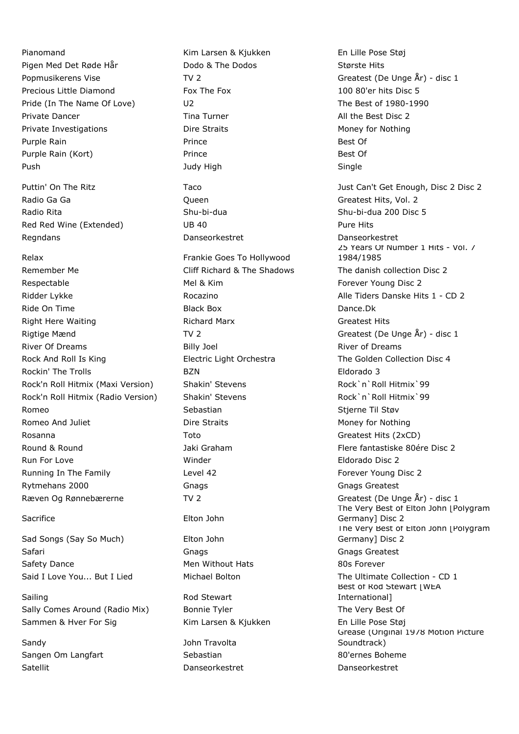Pianomand Kim Larsen & Kjukken En Lille Pose Støj Pigen Med Det Røde Hår **Dodo & The Dodos** Største Hits Precious Little Diamond Fox The Fox 100 80'er hits Disc 5 Pride (In The Name Of Love) U2 Contract Unit Contract Contract Contract Contract Contract Contract Contract Contract Contract Contract Contract Contract Contract Contract Contract Contract Contract Contract Contract Contra Private Dancer The Tina Turner Tina Turner All the Best Disc 2 Private Investigations **Dire Straits** Dire Straits Money for Nothing Purple Rain **Prince Best Of Best Of Prince Best Of Best Of Best Of Best Of Best Of Best Of Best Of Best Of Best Of Best Of Best Of Best Of Best Of Best Of Best Of Best Of Best Of Best Of Best Of Best Of Best Of Best Of** Purple Rain (Kort) **Prince Prince** Best Of Push Single Single Single Single Single Single Single Single

Radio Ga Ga Canter Communication Communication Communication Communication Communication Communication Communication Communication Communication Communication Communication Communication Communication Communication Communi Radio Rita November 200 Disc 5 Shu-bi-dua Shu-bi-dua Shu-bi-dua 200 Disc 5 Red Red Wine (Extended)  $UB 40$  DB 40 Pure Hits Regndans Danseorkestret Danseorkestret

# Remember Me **Cliff Richard & The Shadows** The danish collection Disc 2 Respectable The Mel & Kim **Respectable Mel 2** Mel & Kim **Forever Young Disc 2** Ridder Lykke **Alle Tiders Danske Hits 1 - CD 2** and 2 - CD 2 Alle Tiders Danske Hits 1 - CD 2 Ride On Time **Black Box** Black Box **Dance.Dk** Right Here Waiting The Richard Marx Createst Hits Rigtige Mænd TV 2 TV 2 Greatest (De Unge År) - disc 1 River Of Dreams **Billy Joel** Billy Joel **River of Dreams** River of Dreams Rock And Roll Is King Electric Light Orchestra The Golden Collection Disc 4 Rockin' The Trolls **Eldorado 3** BZN **Eldorado 3** Rock'n Roll Hitmix (Maxi Version) Shakin' Stevens Rock'n `Roll Hitmix `99 Rock'n Roll Hitmix (Radio Version) Shakin' Stevens Rock'n' Roll Hitmix 99 Romeo Sebastian Sebastian Sebastian Stjerne Til Støv Romeo And Juliet **Notice 20 Formula** Dire Straits **Money For Nothing** Money for Nothing Rosanna **Toto** Toto Greatest Hits (2xCD) Round & Round The Round Communist Clare of the State of the State of the State of the State of the State of the M Run For Love Winder Eldorado Disc 2 Running In The Family **Level 42** Level 42 **Forever Young Disc 2 Forever Young Disc 2** Rytmehans 2000 Gnags Greatest Gnags Greatest Gnags Greatest Ræven Og Rønnebærerne TV 2 TV 2 Greatest (De Unge År) - disc 1

Sad Songs (Say So Much) Elton John Safari Gnags Gnags Greatest Safety Dance **Men Without Hats** 80s Forever

Sailing **Rod Stewart** Sally Comes Around (Radio Mix) Bonnie Tyler The Very Best Of Sammen & Hver For Sig Kim Larsen & Kjukken En Lille Pose Støj

Sandy **Sandy John Travolta** Sangen Om Langfart Sebastian Sebastian and Sebastian and Sebastian and Solernes Boheme Satellit Danseorkestret Danseorkestret

Relax **Frankie Goes To Hollywood** Sacrifice Elton John

Popmusikerens Vise TV 2 TV 2 Greatest (De Unge År) - disc 1 Puttin' On The Ritz Taco The Taco Taco The Suite Can't Get Enough, Disc 2 Disc 2 Disc 2 25 Years Of Number 1 Hits - Vol. 7 1984/1985 The Very Best of Elton John [Polygram Germany] Disc 2 The Very Best of Elton John [Polygram Germany] Disc 2 Said I Love You... But I Lied Michael Bolton The Ultimate Collection - CD 1 Best of Rod Stewart [WEA International] Grease (Original 1978 Motion Picture Soundtrack)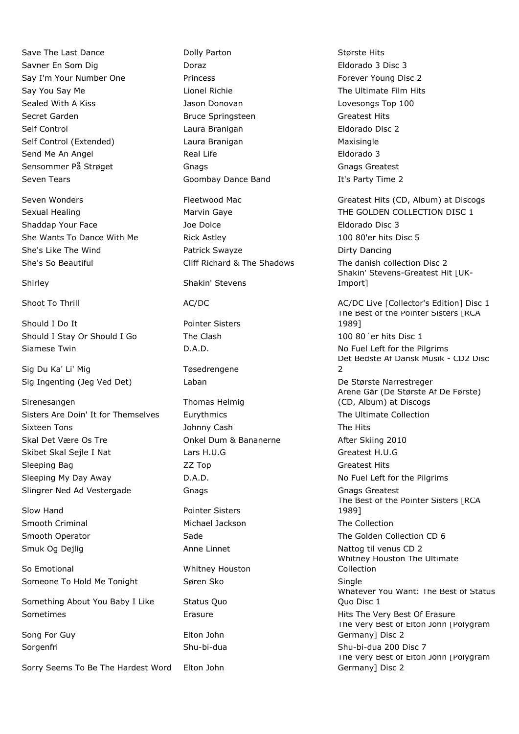Save The Last Dance The Last Dance Colly Parton Collection Største Hits Savner En Som Dig Doraz Eldorado 3 Disc 3 Say I'm Your Number One **Princess** Forever Young Disc 2 Say You Say Me **Lionel Richie** The Ultimate Film Hits Cay Me Lionel Richie The The Ultimate Film Hits Sealed With A Kiss Jason Donovan Lovesongs Top 100 Secret Garden **Bruce Springsteen** Greatest Hits Self Control Laura Branigan Eldorado Disc 2 Self Control (Extended) Laura Branigan Maxisingle Send Me An Angel **Real Life Real Life Real Life Eldorado 3** Sensommer På Strøget Gnags Greatest Gnags Greatest Gnags Greatest Seven Tears Goombay Dance Band It's Party Time 2

Shaddap Your Face The Joe Dolce The Shaddap Your Face Shaddap Your Face The Shaddap Shaddap Shaddap Shaddap Shaddap Shaddap Shaddap Shaddap Shaddap Shaddap Shaddap Shaddap Shaddap Shaddap Shaddap Shaddap Shaddap Shaddap Sh She Wants To Dance With Me Rick Astley 100 80'er hits Disc 5 She's Like The Wind **Patrick Swayze Patrick Swayze** Patrick Swayze *Dirty Dancing* She's So Beautiful Cliff Richard & The Shadows The danish collection Disc 2

Should I Do It Pointer Sisters Should I Stay Or Should I Go The Clash 100 80'er hits Disc 1 Siamese Twin Communication Communication D.A.D. No Fuel Left for the Pilgrims

Sig Du Ka' Li' Mig Tweedrengene Sig Ingenting (Jeg Ved Det) Laban De Største Narrestreger

Sirenesangen Thomas Helmig Sisters Are Doin' It for Themselves Eurythmics Eurythmics The Ultimate Collection Sixteen Tons **Sixteen Tons The Hits** Johnny Cash **The Hits** Skal Det Være Os Tre **Calcul Concel Dum & Bananerne** After Skiing 2010 Skibet Skal Sejle I Nat Lars H.U.G Createst H.U.G Createst H.U.G Sleeping Bag **Sleeping Bag Community ZZ Top Greatest Hits** Greatest Hits Sleeping My Day Away **D.A.D.** D.A.D. No Fuel Left for the Pilgrims Slingrer Ned Ad Vestergade Gnags Greatest Gnags Greatest

Slow Hand **Pointer Sisters** Smooth Criminal Michael Jackson The Collection

So Emotional Whitney Houston Someone To Hold Me Tonight Søren Sko Single

Something About You Baby I Like Status Quo Sometimes **Erasure** Erasure **Example 20 Finally Example 20 Finally Example 20 Finally Hits The Very Best Of Erasure** 

Song For Guy **Elton John** 

Sorry Seems To Be The Hardest Word Elton John

## Shirley Shakin' Stevens

Seven Wonders **Fleetwood Mac** Greatest Hits (CD, Album) at Discogs **Greatest Hits** (CD, Album) at Discogs Sexual Healing The Marvin Gaye The GOLDEN COLLECTION DISC 1 Shakin' Stevens-Greatest Hit | UK-Import] Shoot To Thrill **AC/DC** AC/DC AC/DC AC/DC AC/DC AC/DC Live [Collector's Edition] Disc 1 The Best of the Pointer Sisters [RCA 1989] Det Bedste Af Dansk Musik - CD2 Disc  $\overline{2}$ Årene Går (De Største Af De Første) (CD, Album) at Discogs The Best of the Pointer Sisters [RCA 1989] Smooth Operator **Sade** Sade The Golden Collection CD 6 Smuk Og Dejlig Anne Linnet Anne Linnet Nattog til venus CD 2 Whitney Houston The Ultimate Collection Whatever You Want: The Best of Status Quo Disc 1 The Very Best of Elton John [Polygram Germany] Disc 2 Sorgenfri Shu-bi-dua Shu-bi-dua 200 Disc 7 The Very Best of Elton John [Polygram Germany] Disc 2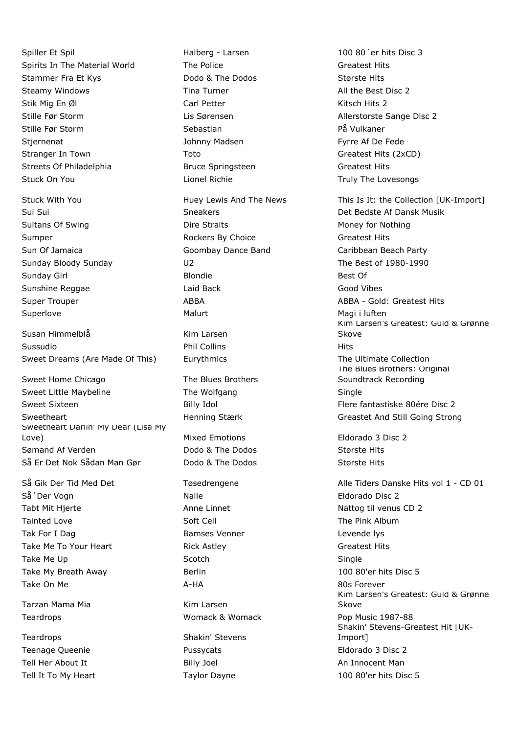Spiller Et Spil **Spiller Et Spiller Et Spiller Compared Accord Halberg - Larsen** 100 80<sup>'</sup>er hits Disc 3 Spirits In The Material World The Police The Police Greatest Hits Stammer Fra Et Kys **Stammer Fra Et Kys** Bodo & The Dodos Største Hits Steamy Windows **Tima Turner** All the Best Disc 2 Stik Mig En Øl Carl Petter Carl Petter Carl Petter Kitsch Hits 2 Stille Før Storm Lis Sørensen Allerstorste Sange Disc 2 Stille Før Storm Sebastian Sebastian På Vulkaner Stjernenat The Stjernenat Stjernenat Madsen Stjernenat Fyrre Af De Fede Stranger In Town Toto Greatest Hits (2xCD) Streets Of Philadelphia **Bruce Springsteen** Greatest Hits Stuck On You **Lionel Richie Truly The Lovesongs** Current Control Control Current Current Current Current Current Current Current Current Current Current Current Current Current Current Current Current Current Current Curre

Susan Himmelblå Kim Larsen Sussudio **Phil Collins** Phil Collins **Hits** Sweet Dreams (Are Made Of This) Lurythmics The Ultimate Collection

Sweet Home Chicago The Blues Brothers Sweet Little Maybeline The Wolfgang Single Sweet Sixteen The Billy Idol Flere fantastiske 80ére Disc 2 Sweetheart **Exercise State Henning Stærk** Greastet And Still Going Strong Sweetheart Darlin' My Dear (Lisa My Love) Mixed Emotions Eldorado 3 Disc 2 Sømand Af Verden The Dodo & The Dodos Største Hits Så Er Det Nok Sådan Man Gør Dodo & The Dodos Største Hits

Så 'Der Vogn Nalle Eldorado Disc 2 Tabt Mit Hjerte **Anne Linnet** Anne Linnet Nattog til venus CD 2 Tainted Love **Soft Cell** Soft Cell **The Pink Album** Tak For I Dag Bamses Venner Levende lystement and the Bamses Venner Levende lystement and the Levende lystement Take Me To Your Heart **Rick Astley Communist Createst Hits** Take Me Up **Scotch** Scotch Single Single Single Take My Breath Away **Berlin** 100 80'er hits Disc 5 Take On Me **A-HA** A-HA 80s Forever

Tarzan Mama Mia **Kim Larsen** 

Teardrops Shakin' Stevens Teenage Queenie Pussycats Eldorado 3 Disc 2 Tell Her About It **Acknowledge Contract An Innocent Man** Billy Joel **An Innocent Man** 

Sultans Of Swing **Sultans Community** Dire Straits **Money For Nothing** Money for Nothing Sumper The Rockers By Choice Communications of Greatest Hits Sun Of Jamaica Goombay Dance Band Caribbean Beach Party Sunday Bloody Sunday U2 The Best of 1980-1990 Sunday Girl **Blondie** Blondie **Blondie Best Of** Sunshine Reggae **Laid Back** Current Cood Vibes Superlove **Malurt** Malurt Magi i luften

Teardrops Womack & Womack Pop Music 1987-88

Stuck With You **Supple The Huey Lewis And The News** This Is It: the Collection [UK-Import] Sui Sui Sui Sui Suide and Sneakers Affects Af Dansk Musik Musik Contained Bedste Affects Affects Affects Affects Super Trouper **ABBA** ABBA ABBA ABBA ABBA - Gold: Greatest Hits Kim Larsen's Greatest: Guld & Grønne Skove The Blues Brothers: Original Soundtrack Recording

Så Gik Der Tid Med Det Tøsedrengene and Alle Tiders Danske Hits vol 1 - CD 01 Kim Larsen's Greatest: Guld & Grønne **Skove** Shakin' Stevens-Greatest Hit [UK-Import] Tell It To My Heart Taylor Dayne 100 80'er hits Disc 5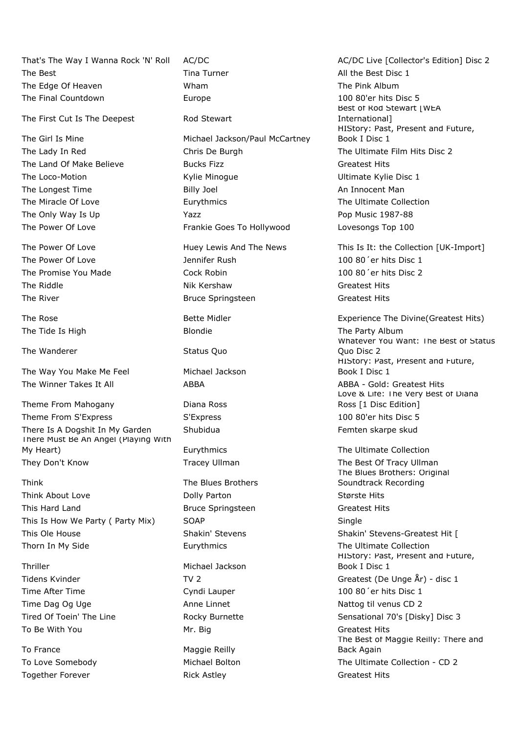That's The Way I Wanna Rock 'N' Roll AC/DC AC/DC AC/DC Live [Collector's Edition] Disc 2 The Best Tima Turner The Best Disc 1 and Turner All the Best Disc 1 The Edge Of Heaven The Pink Album Number 2012 Wham The Pink Album The Final Countdown **Europe** 100 80'er hits Disc 5

The First Cut Is The Deepest Rod Stewart

The Tide Is High The Party Album Blondie The Party Album

The Wanderer Status Quo

The Way You Make Me Feel Michael Jackson The Winner Takes It All **ABBA** ABBA ABBA ABBA - Gold: Greatest Hits

Theme From Mahogany **Diana Ross** Theme From S'Express S'Express S'Express 100 80'er hits Disc 5 There Is A Dogshit In My Garden Shubidua **Shubidua** Femten skarpe skud There Must Be An Angel (Playing With My Heart) **Eurythmics** Eurythmics The Ultimate Collection They Don't Know Tracey Ullman Tracey Ullman The Best Of Tracy Ullman

Think The Blues Brothers Think About Love **Dolly Parton** Bully Parton **Største Hits** This Hard Land **Bruce Springsteen** Greatest Hits This Is How We Party ( Party Mix) SOAP SOAP Single This Ole House The Shakin' Stevens Shakin' Stevens Shakin' Stevens-Greatest Hit [ Thorn In My Side **Eurythmics** Eurythmics The Ultimate Collection

Thriller Michael Jackson Time After Time **100 80<sup>'</sup>** er hits Disc 1 Time Dag Og Uge **Anne Linnet** Anne Linnet Nattog til venus CD 2 To Be With You **Mr. Big Greatest Hits** Greatest Hits

To France Maggie Reilly Together Forever The Rick Astley Controller Rick Astley Controller Greatest Hits

The Girl Is Mine **Michael Jackson/Paul McCartney** The Lady In Red The Chris De Burgh The Ultimate Film Hits Disc 2 The Land Of Make Believe **Bucks Fizz** Bucks Fizz **Bucks** Greatest Hits The Loco-Motion **Example 20 Example 20 Example 20 Example 20 Example 20 Example 20 Example 20 Example 20 Example 20 Example 20 Example 20 Example 20 Example 20 Example 20 Example 20 Example 20 Example 20 Example 20 Example** The Longest Time **An Innocent Man** Billy Joel **An Innocent Man** The Miracle Of Love **Eurythmics** Eurythmics The Ultimate Collection The Only Way Is Up The Only Way Is Up The Only Way Is Up The Only Way Is Up The Yazz Pop Music 1987-88 The Power Of Love **Frankie Goes To Hollywood** Lovesongs Top 100

The Power Of Love **100 80<sup>'</sup>er hits Disc 1** The Promise You Made Cock Robin Cock Robin 100 80<sup>'</sup> er hits Disc 2 The Riddle **Nik Kershaw** Greatest Hits The River **Bruce Springsteen** Greatest Hits **Bruce Springsteen** 

Best of Rod Stewart [WEA International] HIStory: Past, Present and Future, Book I Disc 1

The Power Of Love The Huey Lewis And The News This Is It: the Collection [UK-Import]

The Rose The Rose Experience The Divine (Greatest Hits) He Rose Experience The Divine (Greatest Hits) Whatever You Want: The Best of Status Quo Disc 2 HIStory: Past, Present and Future, Book I Disc 1 Love & Life: The Very Best of Diana Ross [1 Disc Edition]

The Blues Brothers: Original Soundtrack Recording HIStory: Past, Present and Future, Book I Disc 1 Tidens Kvinder TV 2 TV 2 Greatest (De Unge År) - disc 1 Tired Of Toein' The Line The Rocky Burnette Sensational 70's [Disky] Disc 3 The Best of Maggie Reilly: There and Back Again To Love Somebody **Michael Bolton** Michael Bolton The Ultimate Collection - CD 2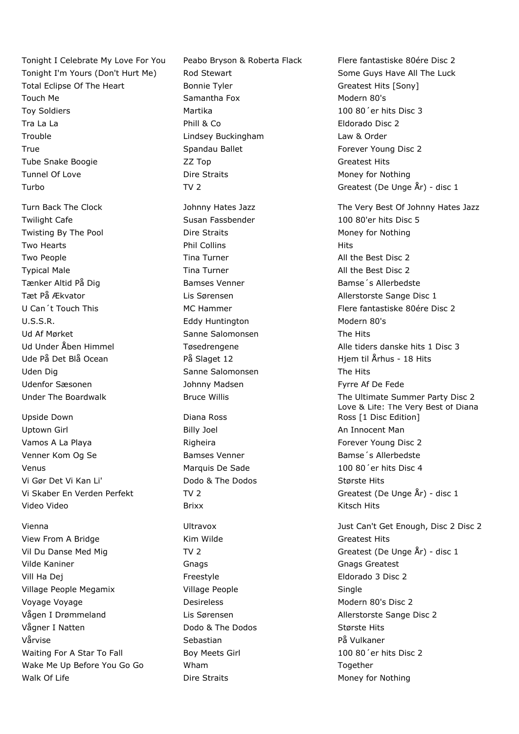Tonight I'm Yours (Don't Hurt Me) and Stewart Some Guys Have All The Luck Total Eclipse Of The Heart **Bonnie Tyler** Bonnie Tyler **Greatest Hits [Sony]** Touch Me **Samantha Fox** Samantha Fox **Modern 80's** Toy Soldiers **Martika** 100 80<sup>'</sup>er hits Disc 3 Tra La La Phill & Co **Phill & Co** Eldorado Disc 2 Trouble Lindsey Buckingham Law & Order True **Spandau Ballet** Forever Young Disc 2 Tube Snake Boogie **Contains Transformation** 22 Top **Greatest Hits** Greatest Hits Tunnel Of Love **Dire Straits** Dire Straits Money for Nothing Turbo TV 2 TV 2 Greatest (De Unge År) - disc 1 Twilight Cafe The Susan Fassbender 100 80'er hits Disc 5 Twisting By The Pool **Dire Straits** Dire Straits Money for Nothing Two Hearts **Example 2** and the Phil Collins **Hits** Hits Two People Time Turner Time Turner All the Best Disc 2 Typical Male The Tima Turner All the Best Disc 2 Tænker Altid På Dig Bamses Venner Franse i Bamse Sterner Bamse i Sterne Bamse i Sterne Bamse i Bamse i Bamses Venner Tæt På Ækvator Controller Christian Lis Sørensen Christian Allerstorste Sange Disc 1 U Can't Touch This **MC Hammer** All the Sea of the Flere fantastiske 80ére Disc 2 U.S.S.R. Eddy Huntington Modern 80's Ud Af Mørket The Sanne Salomonsen The Hits Ud Under Åben Himmel Tøsedrengene Alle tiders danske hits 1 Disc 3 Ude På Det Blå Ocean **På Slaget 12** Hiem til Århus - 18 Hits Uden Dig November 2012 Sanne Salomonsen The Hits Sanne Salomonsen Udenfor Sæsonen Johnny Madsen Fyrre Af De Fede Upside Down Diana Ross

Uptown Girl **Billy Joel** An Innocent Man Vamos A La Playa **Righeira** Righeira **Righeira** Forever Young Disc 2 Venner Kom Og Se Bamses Venner Bamses Venner Bamse <sup>'</sup>s Allerbedste Venus Marquis De Sade 100 80´er hits Disc 4 Vi Gør Det Vi Kan Li' Dodo & The Dodos Største Hits Video Video Brixx Kitsch Hits

View From A Bridge The Rim Wilde Communication Controller Controller Greatest Hits Vilde Kaniner Gnags Gnags Greatest Vill Ha Dej Freestyle Eldorado 3 Disc 2 Village People Megamix Village People Single Voyage Voyage The Contract Contract Desireless Modern 80's Disc 2 Vågen I Drømmeland Maria Lis Sørensen Maria Allerstorste Sange Disc 2 Vågner I Natten The Louis Codo & The Dodos Største Hits Vårvise Sebastian Sebastian På Vulkaner Waiting For A Star To Fall Boy Meets Girl 100 80<sup>'</sup>er hits Disc 2 Wake Me Up Before You Go Go Wham What Contact the Up Before You Go Go Wham Walk Of Life **Notain Community Community** Dire Straits Money Money for Nothing

Tonight I Celebrate My Love For You Peabo Bryson & Roberta Flack Flere fantastiske 80ére Disc 2 Turn Back The Clock Johnny Hates Jazz The Very Best Of Johnny Hates Jazz Under The Boardwalk **Bruce Willis** Bruce Willis The Ultimate Summer Party Disc 2 Love & Life: The Very Best of Diana Ross [1 Disc Edition] Vi Skaber En Verden Perfekt TV 2 Greatest (De Unge År) - disc 1 Vienna Ultravox Just Can't Get Enough, Disc 2 Disc 2 Vil Du Danse Med Mig TV 2 TV 2 Greatest (De Unge År) - disc 1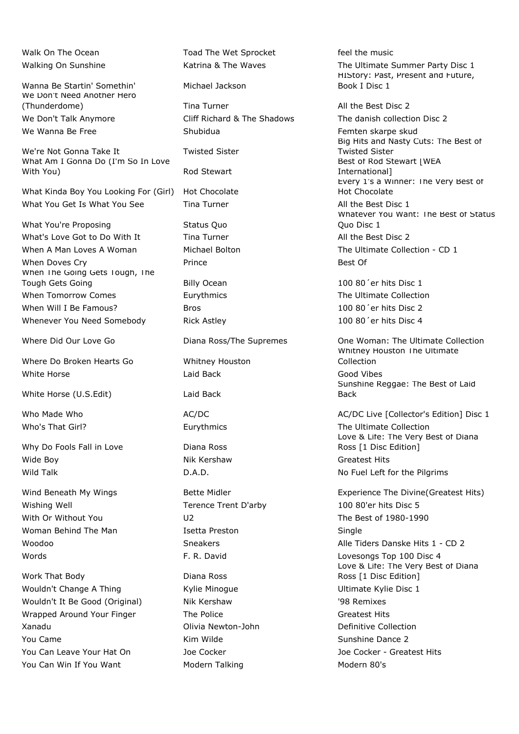Wanna Be Startin' Somethin' Michael Jackson We Don't Need Another Hero (Thunderdome) Tina Turner All the Best Disc 2 We Don't Talk Anymore Cliff Richard & The Shadows The danish collection Disc 2

We're Not Gonna Take It Twisted Sister What Am I Gonna Do (I'm So In Love With You) and Stewart

What Kinda Boy You Looking For (Girl) Hot Chocolate What You Get Is What You See Tina Turner All the Best Disc 1

What You're Proposing The Status Quo What's Love Got to Do With It Tina Turner All the Best Disc 2 When A Man Loves A Woman Michael Bolton The Ultimate Collection - CD 1 When Doves Cry **Best Of Prince Best Of Best Of Prince** Best Of When The Going Gets Tough, The Tough Gets Going Tough Gets Going Billy Ocean 100 80<sup>'</sup> er hits Disc 1 When Tomorrow Comes **Eurythmics** Eurythmics The Ultimate Collection When Will I Be Famous? Bros Bros 100 80'er hits Disc 2 Whenever You Need Somebody Rick Astley 100 80<sup>'</sup> er hits Disc 4

Where Do Broken Hearts Go Whitney Houston White Horse **Communist Communist Communist Communist Communist Communist Communist Communist Communist Communist Communist Communist Communist Communist Communist Communist Communist Communist Communist Communist Communist** 

White Horse (U.S.Edit) Laid Back

Why Do Fools Fall in Love Diana Ross Wide Boy **Nik Kershaw** Greatest Hits

Wishing Well Terence Trent D'arby 100 80'er hits Disc 5 With Or Without You **U2** U2 The Best of 1980-1990 Woman Behind The Man **Isetta Preston** Isetta Preston **Islams** Single

Work That Body **Diana Ross** Wouldn't Change A Thing Thing The Kylie Minogue Thing The Ultimate Kylie Disc 1 Wouldn't It Be Good (Original) Nik Kershaw '98 Remixes Wrapped Around Your Finger The Police The Police Greatest Hits Xanadu Olivia Newton-John Definitive Collection You Came **Kim Wilde** Sunshine Dance 2 You Can Leave Your Hat On Joe Cocker Joe Cocker - Greatest Hits You Can Win If You Want Modern Talking Motor Modern 80's

Walk On The Ocean Toad The Wet Sprocket feel the music

We Wanna Be Free The Shubidua Femten skarpe skud

Walking On Sunshine The Katrina & The Waves The Ultimate Summer Party Disc 1 HIStory: Past, Present and Future, Book I Disc 1

> Big Hits and Nasty Cuts: The Best of Twisted Sister Best of Rod Stewart | WEA International] Every 1's a Winner: The Very Best of Hot Chocolate Whatever You Want: The Best of Status Quo Disc 1

Where Did Our Love Go **Diana Ross/The Supremes** One Woman: The Ultimate Collection Whitney Houston The Ultimate Collection Sunshine Reggae: The Best of Laid Back

Who Made Who **AC/DC** AC/DC AC/DC AC/DC AC/DC AC/DC Live [Collector's Edition] Disc 1 Who's That Girl? Eurythmics The Ultimate Collection Love & Life: The Very Best of Diana Ross [1 Disc Edition] Wild Talk **D.A.D.** D.A.D. No Fuel Left for the Pilgrims

Wind Beneath My Wings **Bette Midler** Experience The Divine (Greatest Hits) Woodoo **Sneakers** Sneakers Alle Tiders Danske Hits 1 - CD 2 Words **F. R. David F. R. David Lovesongs Top 100 Disc 4** Love & Life: The Very Best of Diana Ross [1 Disc Edition]